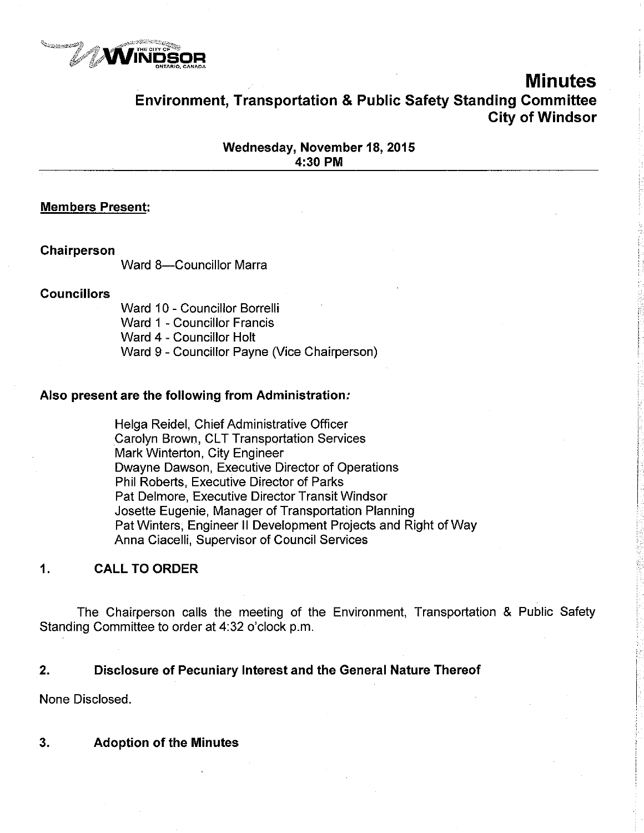

# Minutes Environment, Transportation & Public Safety Standing Gommittee City of Windsor

### Wednesday, November 18, 2015 4:30 PM

### Members Present:

#### Chairperson

Ward 8-Councillor Marra

#### **Councillors**

Ward 10 - Councillor Borrelli Ward 1 - Councillor Francis Ward 4 - Councillor Holt Ward g - Councillor Payne (Vice Chairperson)

#### Also present are the following from Administration.

Helga Reidel, Chief Administrative Officer Carolyn Brown, CLT Transportation Services Mark Winterton, City Engineer Dwayne Dawson, Executive Director of Operations Phil Roberts, Executive Director of Parks Pat Delmore, Executive Director Transit Windsor Josette Eugenie, Manager of Transportation Planning Pat Winters, Engineer ll Development Projects and Right of Way Anna Ciacelli, Supervisor of Council Services

### ,1, CALL TO ORDER

The Chairperson calls the meeting of the Environment, Transportation & Public Safety Standing Committee to order at 4:32 o'clock p.m.

### 2. Disclosure of Pecuniary lnterest and the General Nature Thereof

None Disclosed.

 $3<sub>1</sub>$ Adoption of the Minutes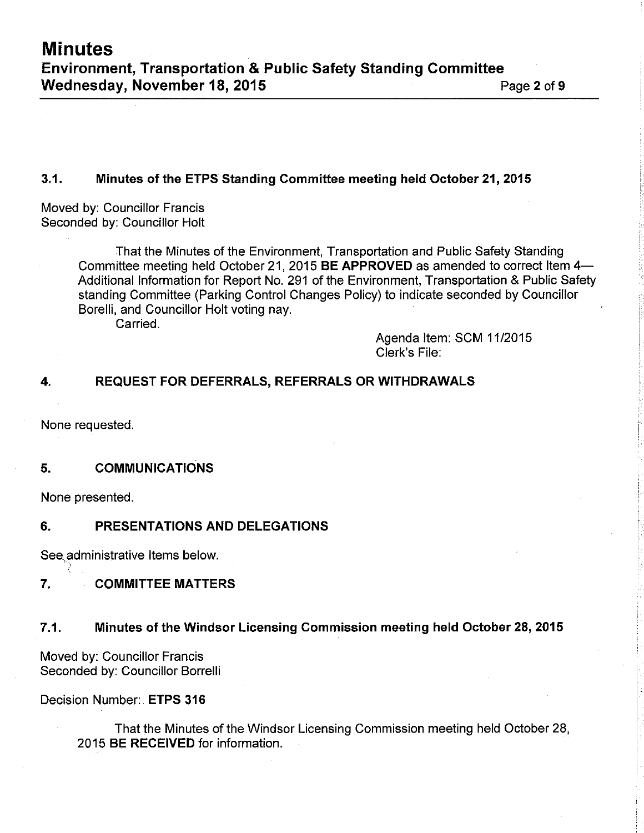# 3.1. Minutes of the ETPS Standing Committee meeting held October 21,2015

Moved by: Councillor Francis Seconded by: Councillor Holt

> That the Minutes of the Environment, Transportation and Public Safety Standing Committee meeting held October 21, 2015 BE APPROVED as amended to correct Item 4-Additional lnformation for Report No. 291 of the Environment, Transportation & Public Safety standing Committee (Parking Control Changes Policy) to indicate seconded by Councillor Borelli, and Councillor Holt voting nay.

Carried.

Agenda ltem: SCM 1112015 Clerk's File:

# 4. REQUEST FOR DEFERRALS, REFERRALS ORWITHDRAWALS

None requested.

# 5. COMMUNICATIONS

None presented.

# 6. PRESENTATIONS AND DELEGATIONS

See administrative Items below.

# 7. COMMITTEE MATTERS

# 7.1. Minutes of the Windsor Licensing Commission meeting held October 28, 2015

Moved by: Councillor Francis Seconded by: Councillor Borrelli

Decision Number: ETPS 316

That the Minutes of the Windsor Licensing Commission meeting held October 28, 2015 BE RECEIVED for information.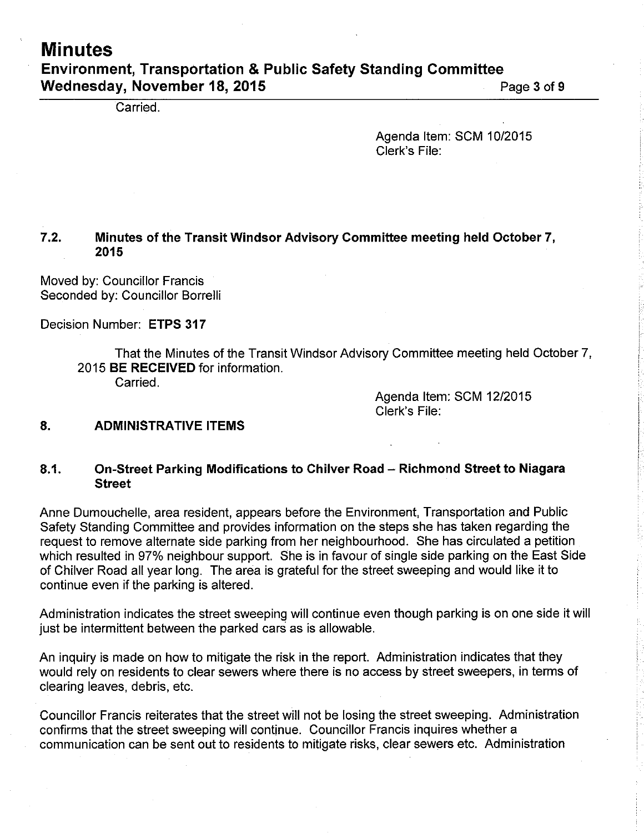# **Minutes** Environment, Transportation & Public Safety Standing Committee Wednesday, November 18, 2015 **Page 3 of 9** Page 3 of 9

Carried.

Agenda Item: SCM 10/2015 Clerk's File:

# 7,2, Minutes of the Transit Windsor Advisory Gommittee meeting held October 7, 2015

Moved by: Councillor Francis Seconded by: Councillor Borrelli

Decision Number: ETPS 317

That the Minutes of the Transit Windsor Advisory Committee meeting held October 7, 2015 BE RECEIVED for information. Carried.

> Agenda Item: SCM 12/2015 Clerk's File:

#### 8. ADMINISTRATIVE ITEMS

### 8.1. On-Street Parking Modifications to Chilver Road - Richmond Street to Niagara Street

Anne Dumouchelle, area resident, appears before the Environment, Transportation and Public Safety Standing Committee and provides information on the steps she has taken regarding the request to remove alternate side parking from her neighbourhood. She has circulated a petition which resulted in 97% neighbour support. She is in favour of single side parking on the East Side of Chilver Road all year long. The area is grateful for the street sweeping and would like it to continue even if the parking is altered.

Administration indicates the street sweeping will continue even though parking is on one side it will just be intermittent between the parked cars as is allowable.

An inquiry is made on how to mitigate the risk in the report. Administration indicates that they would rely on residents to clear sewers where there is no access by street sweepers, in terms of clearing leaves, debris, etc.

Councillor Francis reiterates that the street will not be losing the street sweeping. Administration confirms that the street sweeping will continue. Councillor Francis inquires whether a communication can be sent out to residents to mitigate risks, clear sewers etc. Administration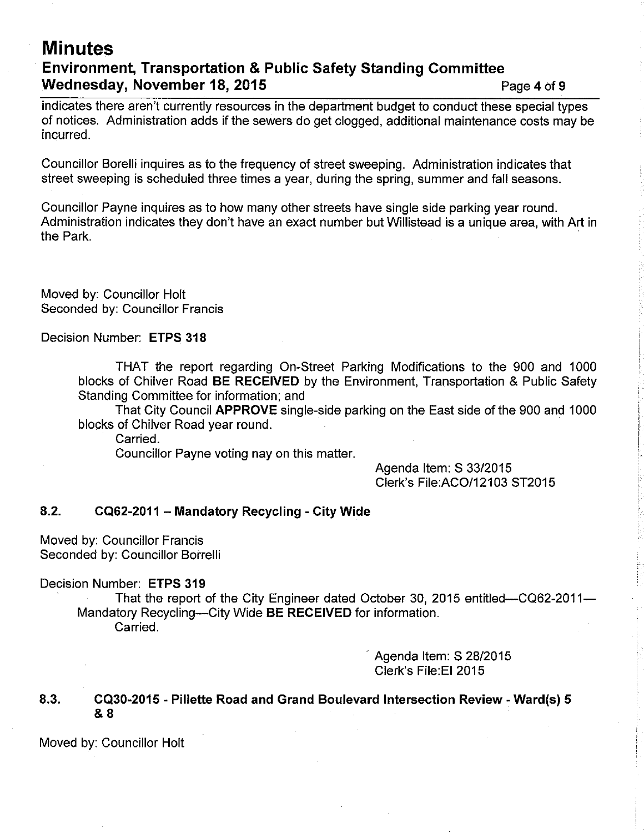# **Minutes** Environment, Transportation & Public Safety Standing Gommittee Wednesday, November 18, 2015 **Page 4 of 9** Page 4 of 9

indicates there aren't currently resources in the department budget to conduct these special types of notices. Administration adds if the sewers do get clogged, additional maintenance costs may be incurred.

Councillor Borelli inquires as to the frequency of street sweeping. Administration indicates that street sweeping is scheduled three times a year, during the spring, summer and fall seasons.

Councillor Payne inquires as to how many other streets have single side parking year round. Administration indicates they don't have an exact number but Willistead is a unique area, with Art in the Park.

Moved by: Councillor Holt Seconded by: Councillor Francis

Decision Number: ETPS 318

THAT the report regarding On-Street Parking Modifications to the 900 and 1000 blocks of Chilver Road BE RECEIVED by the Environment, Transportation & Public Safety Standing Committee for information; and

That City Council APPROVE single-side parking on the East side of the 900 and 1000 blocks of Chilver Road year round.

Carried.

Councillor Payne voting nay on this matter.

Agenda ltem: S 33/2015 Clerk's File: ACO/12103 ST2015

# 8.2. CQ62-2011 - Mandatory Recycling - City Wide

Moved by: Councillor Francis Seconded by: Councillor Borrelli

Decision Number: ETPS 319

That the report of the City Engineer dated October 30, 2015 entitled-CQ62-2011-Mandatory Recycling--City Wide BE RECEIVED for information. Carried.

> Agenda Item: S 28/2015 Clerk's File:El 2015

8.3. CQ30-2015 - Pillette Road and Grand Boulevard lntersection Review - Ward(s) <sup>5</sup> &8

Moved by: Councillor Holt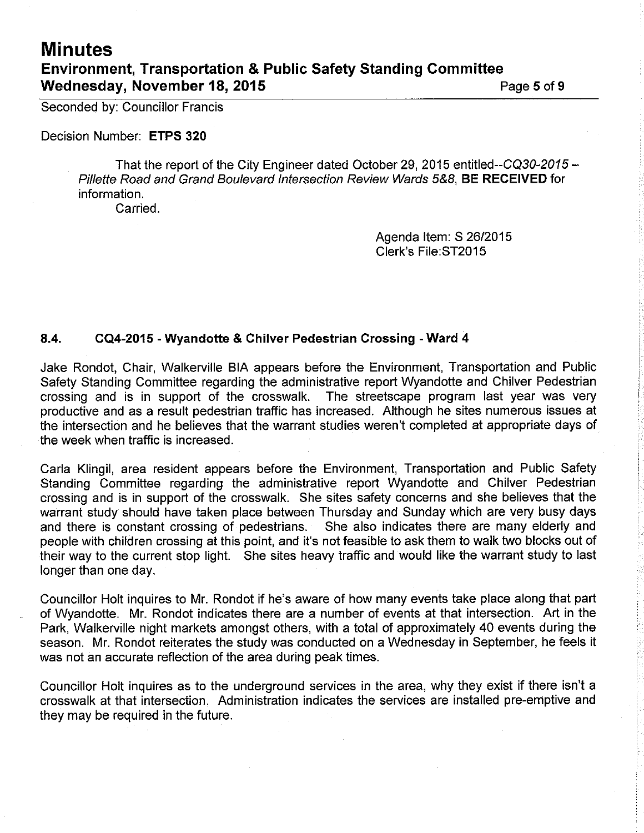# **Minutes** Environment, Transportation & Public Safety Standing Gommittee Wednesday, November 18, 2015 Page 5 of 9

Seconded by: Councillor Francis

Decision Number: ETPS 320

That the report of the City Engineer dated October 29, 2015 entitled--CQ30-2015 -Pillette Road and Grand Boulevard Intersection Review Wards 5&8, BE RECEIVED for information.

Carried.

Agenda ltem: S 2612015 Clerk's File:ST2015

# 8.4. CQ4-2015 - Wyandotte & Chilver Pedestrian Crossing - Ward <sup>4</sup>

Jake Rondot, Chair, Walkerville BIA appears before the Environment, Transportation and Public Safety Standing Committee regarding the administrative report Wyandotte and Chilver Pedestrian crossing and is in support of the crosswalk. The streetscape program last year was very productive and as a result pedestrian traffic has increased. Although he sites numerous issues at the intersection and he believes that the warrant studies weren't completed at appropriate days of the week when traffic is increased.

Carla Klingil, area resident appears before the Environment, Transportation and Public Safety Standing Committee regarding the administrative report Wyandotte and Chilver Pedestrian crossing and is in support of the crosswalk. She sites safety concerns and she believes that the warrant study should have taken place between Thursday and Sunday which are very busy days and there is constant crossing of pedestrians. She also indicates there are many elderly and people with children crossing at this point, and it's not feasible to ask them to walk two blocks out of their way to the current stop light. She sites heavy traffic and would like the warrant study to last longer than one day.

Councillor Holt inquires to Mr. Rondot if he's aware of how many events take place along that part of Wyandotte. Mr. Rondot indicates there are a number of events at that intersection. Art in the Park, Walkerville night markets amongst others, with a total of approximately 40 events during the season. Mr. Rondot reiterates the study was conducted on a Wednesday in September, he feels it was not an accurate reflection of the area during peak times.

Councillor Holt inquires as to the underground services in the area, why they exist if there isn't a crosswalk at that interseciion. Administration indicates the services are installed pre-emptive and they may be required in the future.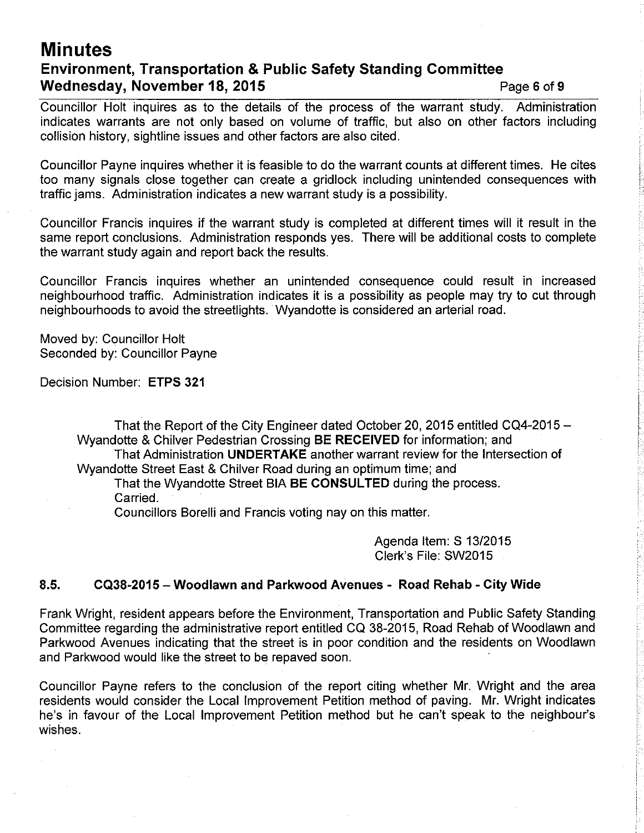# **Minutes** Environment, Transportation & Public Safety Standing Gommittee Wednesday, November 18, 2015 Page 6 of 9

Councillor Holt inquires as to the details of the process of the warrant study. Administration indicates warrants are not only based on volume of traffic, but also on other factors including collision history, sightline issues and other factors are also cited.

Councillor Payne inquires whether it is feasible to do the warrant counts at different times. He cites too many signals close together can create a gridlock including unintended consequences with traffic jams. Administration indicates a new warrant study is a possibility.

Councillor Francis inquires if the warrant study is completed at different times will it result in the same report conclusions. Administration responds yes. There will be additional costs to complete the warrant study again and report back the results.

Councillor Francis inquires whether an unintended consequence could result in increased neighbourhood traffic. Administration indicates it is a possibility as people may try to cut through neighbourhoods to avoid the streetlights. Wyandotte is considered an arterial road.

Moved by: Councillor Holt Seconded by: Councillor Payne

Decision Number: ETPS 321

That the Report of the City Engineer dated October 20, 2015 entitled CQ4-2015  $-$ Wyandotte & Chilver Pedestrian Crossing BE RECEIVED for information; and That Administration UNDERTAKE another warrant review for the lntersection of Wyandotte Street East & Chilver Road during an optimum time; and That the Wyandotte Street BIA BE CONSULTED during the process.

Carried.

Councillors Borelli and Francis voting nay on this matter.

Agenda Item: S 13/2015 Clerk's File: SW2015

l

# 8.5. CQ38-2015 - Woodlawn and Parkwood Avenues - Road Rehab - City Wide

Frank Wright, resident appears before the Environment, Transportation and Public Safety Standing Committee regarding the administrative report entitled CQ 38-2015, Road Rehab of Woodlawn and Parkwood Avenues indicating that the street is in poor condition and the residents on Woodlawn and Parkwood would like the street to be repaved soon.

Councillor Payne refers to the conclusion of the report citing whether Mr. Wright and the area <sup>i</sup> residents would consider the Local Improvement Petition method of paving. Mr. Wright indicates he's in favour of the Local lmprovement Petition method but he can't speak to the neighbour's wishes.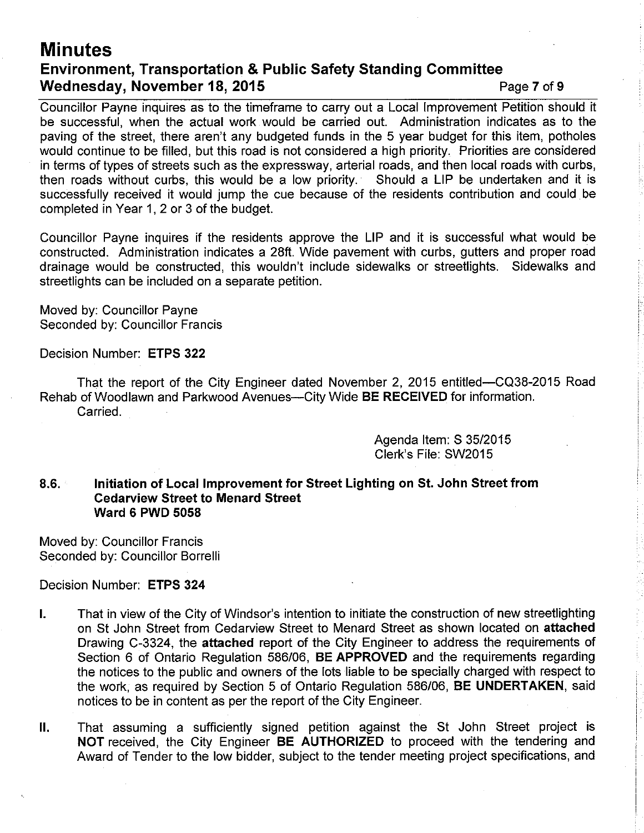# **Minutes** Environment, Transportation & Public Safety Standing Gommittee Wednesday, November 18, 2015 Page 7 of 9

Councillor Payne inquires as to the timeframe to carry out a Local lmprovement Petition should it be successful, when the actual work would be carried out. Administration indicates as to the paving of the street, there aren't any budgeted funds in the 5 year budget for this item, potholes would continue to be filled, but this road is not considered a high priority. Priorities are considered in terms of types of streets such as the expressway, arterial roads, and then local roads with curbs, then roads without curbs, this would be a low priority. Should a LIP be undertaken and it is then roads without curbs, this would be a low priority. successfully received it would jump the cue because of the residents contribution and could be completed in Year 1, 2 or 3 of the budget.

Councillor Payne inquires if the residents approve the LIP and it is successful what would be constructed. Administration indicates a 28ft. Wide pavement with curbs, gutters and proper road drainage would be constructed, this wouldn't include sidewalks or streetlights. Sidewalks and streetlights can be included on a separate petition.

Moved by: Councillor Payne Seconded by: Councillor Francis

Decision Number: ETPS 322

That the report of the City Engineer dated November 2,2015 entitled-CQ38-2015 Road Rehab of Woodlawn and Parkwood Avenues--City Wide BE RECEIVED for information. Carried.

> Agenda ltem: S 35/2015 Clerk's File: SW20l5

### 8.6. Initiation of Local Improvement for Street Lighting on St. John Street from Cedarview Street to Menard Street Ward 6 PWD 5058

Moved by: Councillor Francis Seconded by: Councillor Borrelli

Decision Number: ETPS 324

- l. That in view of the City of Windsor's intention to initiate the construction of new streetlighting on St John Street from Cedarview Street to Menard Street as shown located on attached Drawing C-3324, the attached report of the City Engineer to address the requirements of Section 6 of Ontario Regulation 586/06, **BE APPROVED** and the requirements regarding the notices to the public and owners of the lots liable to be specially charged with respect to the work, as required by Section 5 of Ontario Regulation 586/06, BE UNDERTAKEN, said notices to be in content as per the report of the City Engineer.
- Il. That assuming a sufficiently signed petition against the St John Street project is NOT received, the City Engineer BE AUTHORIZED to proceed with the tendering and Award of Tender to the low bidder, subject to the tender meeting project specifications, and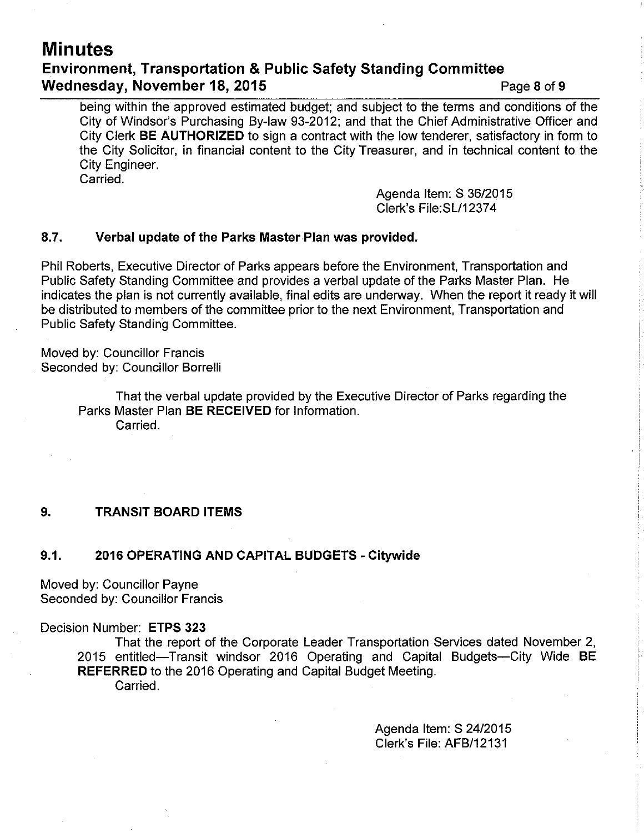# **Minutes** Environment, Transportation & Public Safety Standing Committee Wednesday, November 18, 2015 **Page 18, 2015** Page 8 of 9

being within the approved estimated budget; and subject to the terms and conditions of the City of Windsor's Purchasing By-law 93-2012; and that the Chief Administrative Officer and City Clerk BE AUTHORIZED to sign a contract with the low tenderer, satisfactory in form to the City Solicitor, in financial content to the City Treasurer, and in technical content to the City Engineer. Carried.

> Agenda ltem: S 36/20'15 Clerk's File:SL/12374

### 8.7. Verbal update of the Parks Master PIan was provided.

Phil Roberts, Executive Director of Parks appears before the Environment, Transportation and Public Safety Standing Committee and provides a verbal update of the Parks Master Plan. He indicates the plan is not currently available, final edits are underway. When the report it ready it will be distributed to members of the committee prior to the next Environment, Transportation and Public Safety Standing Committee.

Moved by: Councillor Francis Seconded by: Councillor Borrelli

> That the verbal update provided by the Executive Director of Parks regarding the Parks Master Plan BE RECEIVED for lnformation. Carried.

### 9. TRANSIT BOARD ITEMS

#### 9.1. 2016 OPERATING AND CAPITAL BUDGETS - Citywide

Moved by: Councillor Payne Seconded by: Councillor Francis

#### Decision Number: ETPS 323

That the report of the Corporate Leader Transportation Services dated November 2, 2015 entitled-Transit windsor 2016 Operating and Capital Budgets-City Wide BE REFERRED to the 2016 Operating and Capital Budget Meeting. Carried.

> Agenda ltem: S 2412015 Clerk's File: AFB|12131